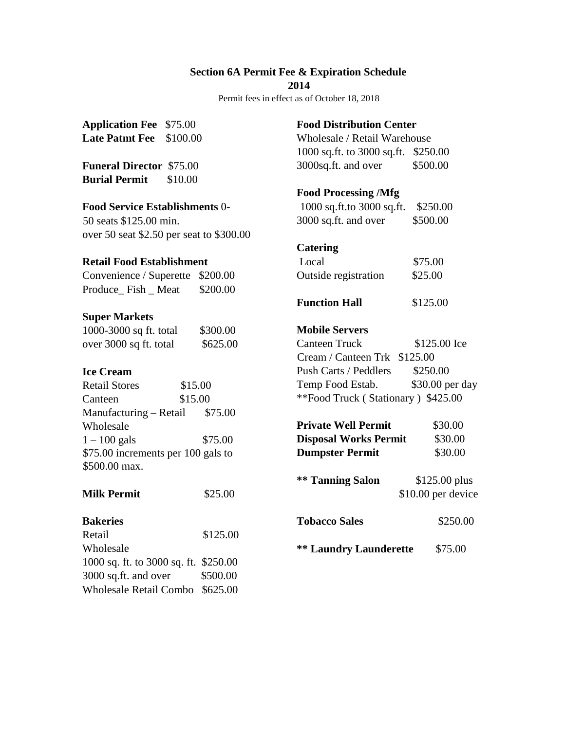# **Section 6A Permit Fee & Expiration Schedule**

**2014** 

Permit fees in effect as of October 18, 2018

| <b>Application Fee</b> \$75.00 |          |
|--------------------------------|----------|
| <b>Late Patmt Fee</b>          | \$100.00 |

**Funeral Director** \$75.00 **Burial Permit** \$10.00

## **Food Service Establishments** 0-

50 seats \$125.00 min. over 50 seat \$2.50 per seat to \$300.00

#### **Retail Food Establishment**

|                   | Convenience / Superette \$200.00 |          |
|-------------------|----------------------------------|----------|
| Produce Fish Meat |                                  | \$200.00 |

#### **Super Markets**

| 1000-3000 sq ft. total | \$300.00 |
|------------------------|----------|
| over 3000 sq ft. total | \$625.00 |

### **Ice Cream**

| <b>Retail Stores</b>               | \$15.00 |  |
|------------------------------------|---------|--|
| Canteen                            | \$15.00 |  |
| Manufacturing – Retail             | \$75.00 |  |
| Wholesale                          |         |  |
| $1 - 100$ gals                     | \$75.00 |  |
| \$75.00 increments per 100 gals to |         |  |
| \$500.00 max.                      |         |  |

| <b>Milk Permit</b>                    | \$25.00  |
|---------------------------------------|----------|
| <b>Bakeries</b>                       |          |
| Retail                                | \$125.00 |
| Wholesale                             |          |
| 1000 sq. ft. to 3000 sq. ft. \$250.00 |          |
| 3000 sq.ft. and over                  | \$500.00 |
| <b>Wholesale Retail Combo</b>         | \$625.00 |

## **Food Distribution Center**

Wholesale / Retail Warehouse 1000 sq.ft. to 3000 sq.ft. \$250.00 3000sq.ft. and over \$500.00

# **Food Processing /Mfg**

| 1000 sq.ft.to 3000 sq.ft. | \$250.00 |
|---------------------------|----------|
| 3000 sq.ft. and over      | \$500.00 |

# **Catering**

| Local                | \$75.00 |
|----------------------|---------|
| Outside registration | \$25.00 |

## **Mobile Servers**

Canteen Truck \$125.00 Ice Cream / Canteen Trk \$125.00 Push Carts / Peddlers \$250.00 Temp Food Estab. \$30.00 per day \*\*Food Truck ( Stationary ) \$425.00

| <b>Private Well Permit</b>   | \$30.00                              |
|------------------------------|--------------------------------------|
| <b>Disposal Works Permit</b> | \$30.00                              |
| <b>Dumpster Permit</b>       | \$30.00                              |
| <b>** Tanning Salon</b>      | $$125.00$ plus<br>\$10.00 per device |

```
Tobacco Sales $250.00
```
**\*\* Laundry Launderette** \$75.00